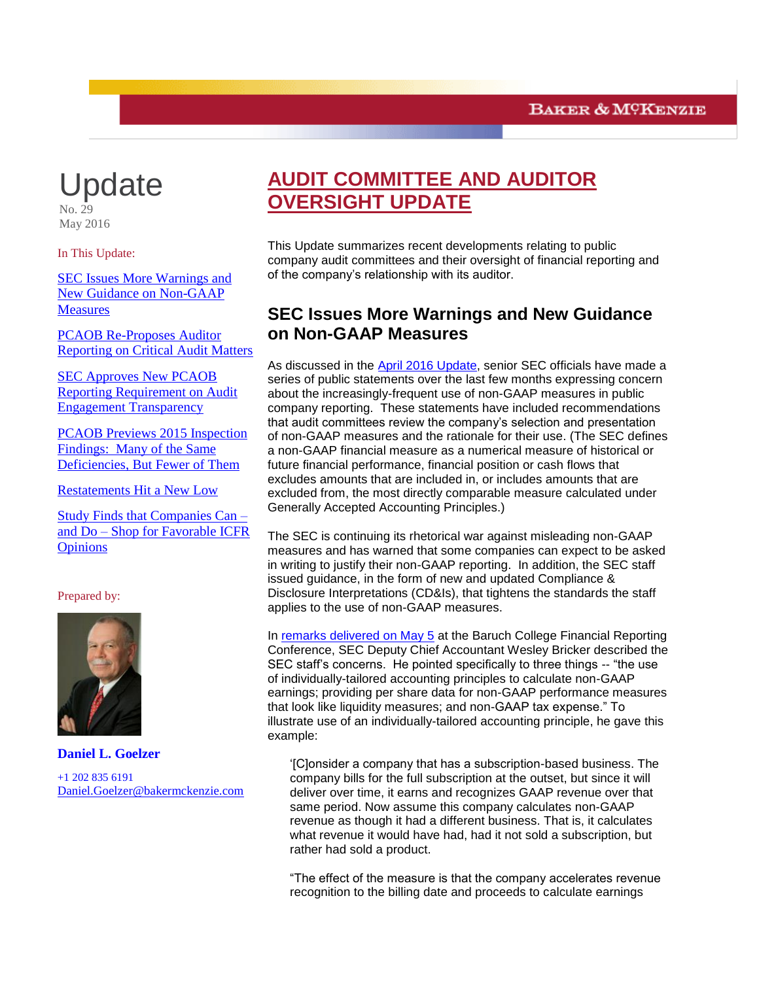# Update

 $No. 29$ May 2016

In This Update:

[SEC Issues More Warnings and](#page-0-0)  [New Guidance on Non-GAAP](#page-0-0)  **[Measures](#page-0-0)** 

<span id="page-0-0"></span>[PCAOB Re-Proposes Auditor](#page-2-0)  [Reporting on Critical Audit Matters](#page-2-0)

[SEC Approves New PCAOB](#page-6-0)  [Reporting Requirement on Audit](#page-6-0)  [Engagement Transparency](#page-6-0)

[PCAOB Previews 2015 Inspection](#page-7-0)  [Findings: Many of the Same](#page-7-0)  [Deficiencies, But Fewer of Them](#page-7-0)

[Restatements Hit a New Low](#page-9-0)

[Study Finds that Companies Can –](#page-11-0) and Do – [Shop for Favorable ICFR](#page-11-0)  **[Opinions](#page-11-0)** 

Prepared by:



**Daniel L. Goelzer** +1 202 835 6191 [Daniel.Goelzer@bakermckenzie.com](mailto:Daniel.Goelzer@bakermckenzie.com)

## **AUDIT COMMITTEE AND AUDITOR OVERSIGHT UPDATE**

This Update summarizes recent developments relating to public company audit committees and their oversight of financial reporting and of the company's relationship with its auditor.

## **SEC Issues More Warnings and New Guidance on Non-GAAP Measures**

As discussed in the [April 2016 Update,](http://www.bakermckenzie.com/files/Uploads/Documents/Publications/NA/nl_na_auditcommitteeupdate_apr16.pdf) senior SEC officials have made a series of public statements over the last few months expressing concern about the increasingly-frequent use of non-GAAP measures in public company reporting. These statements have included recommendations that audit committees review the company's selection and presentation of non-GAAP measures and the rationale for their use. (The SEC defines a non-GAAP financial measure as a numerical measure of historical or future financial performance, financial position or cash flows that excludes amounts that are included in, or includes amounts that are excluded from, the most directly comparable measure calculated under Generally Accepted Accounting Principles.)

The SEC is continuing its rhetorical war against misleading non-GAAP measures and has warned that some companies can expect to be asked in writing to justify their non-GAAP reporting. In addition, the SEC staff issued guidance, in the form of new and updated Compliance & Disclosure Interpretations (CD&Is), that tightens the standards the staff applies to the use of non-GAAP measures.

In [remarks delivered on May 5](http://www.sec.gov/news/speech/speech-bricker-05-05-16.html) at the Baruch College Financial Reporting Conference, SEC Deputy Chief Accountant Wesley Bricker described the SEC staff's concerns. He pointed specifically to three things -- "the use of individually-tailored accounting principles to calculate non-GAAP earnings; providing per share data for non-GAAP performance measures that look like liquidity measures; and non-GAAP tax expense." To illustrate use of an individually-tailored accounting principle, he gave this example:

'[C]onsider a company that has a subscription-based business. The company bills for the full subscription at the outset, but since it will deliver over time, it earns and recognizes GAAP revenue over that same period. Now assume this company calculates non-GAAP revenue as though it had a different business. That is, it calculates what revenue it would have had, had it not sold a subscription, but rather had sold a product.

"The effect of the measure is that the company accelerates revenue recognition to the billing date and proceeds to calculate earnings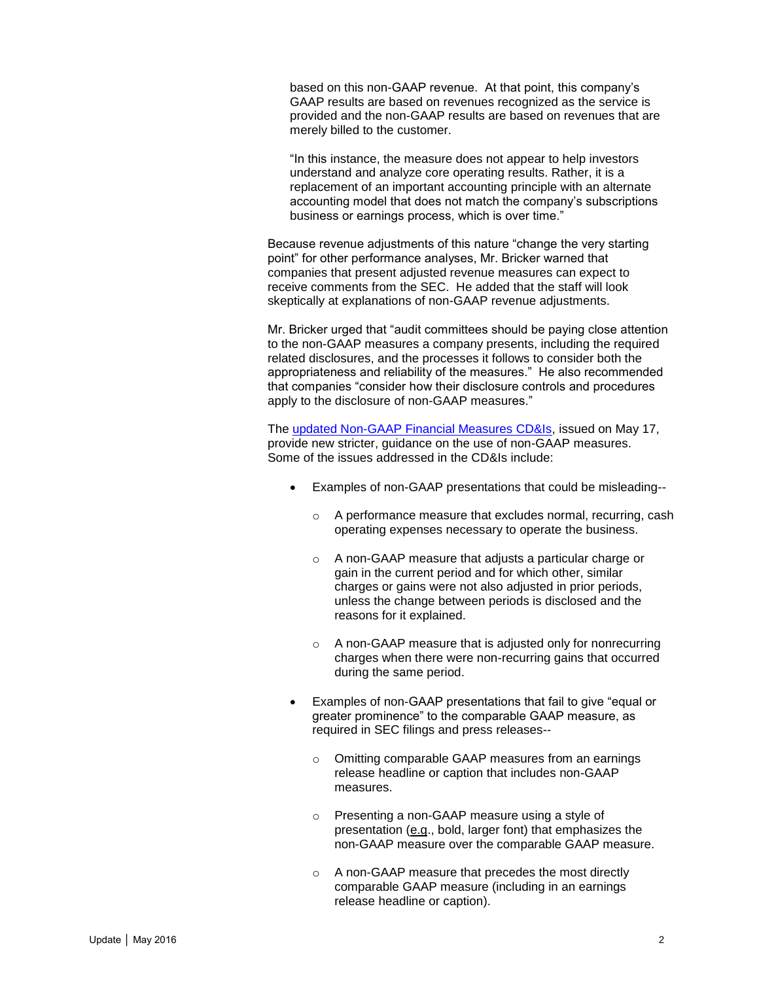based on this non-GAAP revenue. At that point, this company's GAAP results are based on revenues recognized as the service is provided and the non-GAAP results are based on revenues that are merely billed to the customer.

"In this instance, the measure does not appear to help investors understand and analyze core operating results. Rather, it is a replacement of an important accounting principle with an alternate accounting model that does not match the company's subscriptions business or earnings process, which is over time."

Because revenue adjustments of this nature "change the very starting point" for other performance analyses, Mr. Bricker warned that companies that present adjusted revenue measures can expect to receive comments from the SEC. He added that the staff will look skeptically at explanations of non-GAAP revenue adjustments.

Mr. Bricker urged that "audit committees should be paying close attention to the non-GAAP measures a company presents, including the required related disclosures, and the processes it follows to consider both the appropriateness and reliability of the measures." He also recommended that companies "consider how their disclosure controls and procedures apply to the disclosure of non-GAAP measures."

The [updated Non-GAAP Financial Measures CD&Is,](http://www.sec.gov/divisions/corpfin/guidance/nongaapinterp.htm) issued on May 17, provide new stricter, guidance on the use of non-GAAP measures. Some of the issues addressed in the CD&Is include:

- Examples of non-GAAP presentations that could be misleading-
	- o A performance measure that excludes normal, recurring, cash operating expenses necessary to operate the business.
	- o A non-GAAP measure that adjusts a particular charge or gain in the current period and for which other, similar charges or gains were not also adjusted in prior periods, unless the change between periods is disclosed and the reasons for it explained.
	- o A non-GAAP measure that is adjusted only for nonrecurring charges when there were non-recurring gains that occurred during the same period.
- Examples of non-GAAP presentations that fail to give "equal or greater prominence" to the comparable GAAP measure, as required in SEC filings and press releases-
	- o Omitting comparable GAAP measures from an earnings release headline or caption that includes non-GAAP measures.
	- o Presenting a non-GAAP measure using a style of presentation (e.g., bold, larger font) that emphasizes the non-GAAP measure over the comparable GAAP measure.
	- o A non-GAAP measure that precedes the most directly comparable GAAP measure (including in an earnings release headline or caption).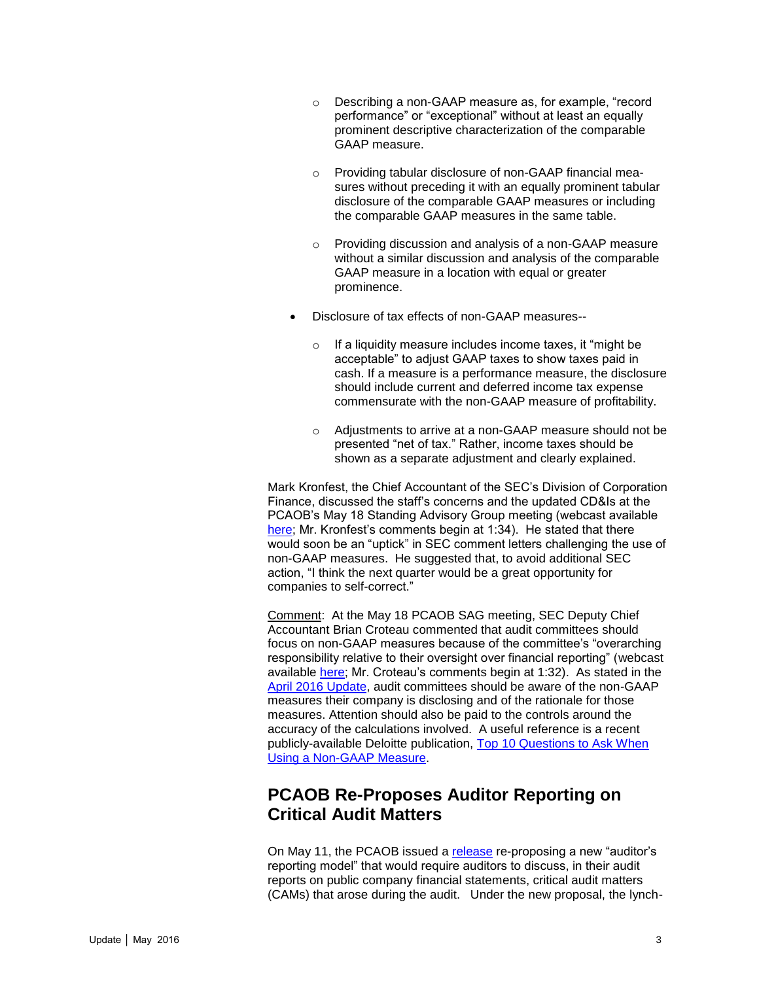- o Describing a non-GAAP measure as, for example, "record performance" or "exceptional" without at least an equally prominent descriptive characterization of the comparable GAAP measure.
- Providing tabular disclosure of non-GAAP financial measures without preceding it with an equally prominent tabular disclosure of the comparable GAAP measures or including the comparable GAAP measures in the same table.
- Providing discussion and analysis of a non-GAAP measure without a similar discussion and analysis of the comparable GAAP measure in a location with equal or greater prominence.
- Disclosure of tax effects of non-GAAP measures-
	- o If a liquidity measure includes income taxes, it "might be acceptable" to adjust GAAP taxes to show taxes paid in cash. If a measure is a performance measure, the disclosure should include current and deferred income tax expense commensurate with the non-GAAP measure of profitability.
	- o Adjustments to arrive at a non-GAAP measure should not be presented "net of tax." Rather, income taxes should be shown as a separate adjustment and clearly explained.

Mark Kronfest, the Chief Accountant of the SEC's Division of Corporation Finance, discussed the staff's concerns and the updated CD&Is at the PCAOB's May 18 Standing Advisory Group meeting (webcast available [here;](http://pcaob-htm.meetingslive.net/pcaob/2016/htm/playVID_051816_sag_PM.htm) Mr. Kronfest's comments begin at 1:34). He stated that there would soon be an "uptick" in SEC comment letters challenging the use of non-GAAP measures. He suggested that, to avoid additional SEC action, "I think the next quarter would be a great opportunity for companies to self-correct."

Comment: At the May 18 PCAOB SAG meeting, SEC Deputy Chief Accountant Brian Croteau commented that audit committees should focus on non-GAAP measures because of the committee's "overarching responsibility relative to their oversight over financial reporting" (webcast available [here;](http://pcaob-htm.meetingslive.net/pcaob/2016/htm/playVID_051816_sag_PM.htm) Mr. Croteau's comments begin at 1:32). As stated in the [April 2016 Update,](http://www.bakermckenzie.com/files/Uploads/Documents/Publications/NA/nl_na_auditcommitteeupdate_apr16.pdf) audit committees should be aware of the non-GAAP measures their company is disclosing and of the rationale for those measures. Attention should also be paid to the controls around the accuracy of the calculations involved. A useful reference is a recent publicly-available Deloitte publication, [Top 10 Questions to Ask When](http://www2.deloitte.com/us/en/pages/audit/articles/hu-top-10-questions-to-ask-when-using-a-non-gaap-measure.html)  [Using a Non-GAAP Measure.](http://www2.deloitte.com/us/en/pages/audit/articles/hu-top-10-questions-to-ask-when-using-a-non-gaap-measure.html)

## <span id="page-2-0"></span>**PCAOB Re-Proposes Auditor Reporting on Critical Audit Matters**

On May 11, the PCAOB issued a [release](http://pcaobus.org/Rules/Rulemaking/Docket034/Release-2016-003-ARM.pdf) re-proposing a new "auditor's reporting model" that would require auditors to discuss, in their audit reports on public company financial statements, critical audit matters (CAMs) that arose during the audit. Under the new proposal, the lynch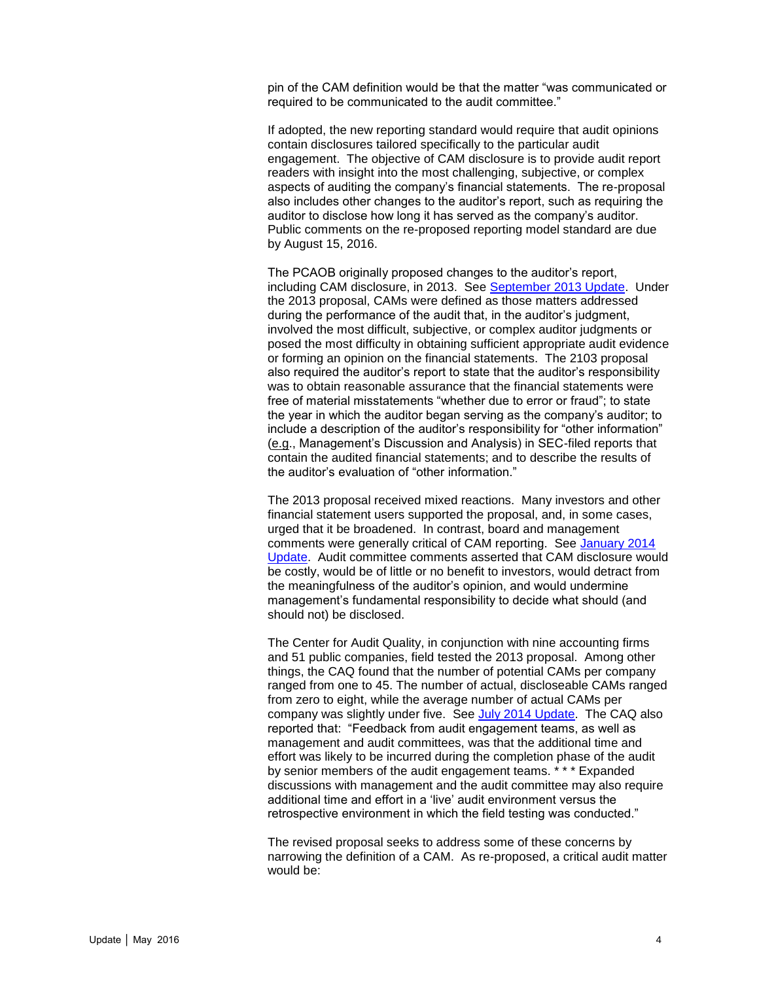pin of the CAM definition would be that the matter "was communicated or required to be communicated to the audit committee."

If adopted, the new reporting standard would require that audit opinions contain disclosures tailored specifically to the particular audit engagement. The objective of CAM disclosure is to provide audit report readers with insight into the most challenging, subjective, or complex aspects of auditing the company's financial statements. The re-proposal also includes other changes to the auditor's report, such as requiring the auditor to disclose how long it has served as the company's auditor. Public comments on the re-proposed reporting model standard are due by August 15, 2016.

The PCAOB originally proposed changes to the auditor's report, including CAM disclosure, in 2013. See [September 2013 Update.](http://www.bakermckenzie.com/files/Publication/3fff5091-3559-4c37-804b-ccc380f1f893/Presentation/PublicationAttachment/5c9ee9fa-a558-416e-9daf-ced16ff6c26d/Al_NA_AuditCommittee_Sep13.pdf) Under the 2013 proposal, CAMs were defined as those matters addressed during the performance of the audit that, in the auditor's judgment, involved the most difficult, subjective, or complex auditor judgments or posed the most difficulty in obtaining sufficient appropriate audit evidence or forming an opinion on the financial statements. The 2103 proposal also required the auditor's report to state that the auditor's responsibility was to obtain reasonable assurance that the financial statements were free of material misstatements "whether due to error or fraud"; to state the year in which the auditor began serving as the company's auditor; to include a description of the auditor's responsibility for "other information" (e.g., Management's Discussion and Analysis) in SEC-filed reports that contain the audited financial statements; and to describe the results of the auditor's evaluation of "other information."

The 2013 proposal received mixed reactions. Many investors and other financial statement users supported the proposal, and, in some cases, urged that it be broadened. In contrast, board and management comments were generally critical of CAM reporting. See [January 2014](http://www.bakermckenzie.com/files/Publication/2e1778a8-3a73-46f9-8efa-6b6e79c3dcae/Presentation/PublicationAttachment/660e93e5-453f-4c64-8db3-715577a0cb97/Al_Global_AuditCommitteeUpdate_Jan14.pdf)  [Update.](http://www.bakermckenzie.com/files/Publication/2e1778a8-3a73-46f9-8efa-6b6e79c3dcae/Presentation/PublicationAttachment/660e93e5-453f-4c64-8db3-715577a0cb97/Al_Global_AuditCommitteeUpdate_Jan14.pdf) Audit committee comments asserted that CAM disclosure would be costly, would be of little or no benefit to investors, would detract from the meaningfulness of the auditor's opinion, and would undermine management's fundamental responsibility to decide what should (and should not) be disclosed.

The Center for Audit Quality, in conjunction with nine accounting firms and 51 public companies, field tested the 2013 proposal. Among other things, the CAQ found that the number of potential CAMs per company ranged from one to 45. The number of actual, discloseable CAMs ranged from zero to eight, while the average number of actual CAMs per company was slightly under five. See [July 2014 Update.](http://www.bakermckenzie.com/files/Publication/68ee392d-9a32-4f91-a8bc-044e88ee8a41/Presentation/PublicationAttachment/bfc84dc8-8bcc-4586-be51-0c9e20653167/al_na_auditcommitteeandauditoroversightupdate_jul14.pdf) The CAQ also reported that: "Feedback from audit engagement teams, as well as management and audit committees, was that the additional time and effort was likely to be incurred during the completion phase of the audit by senior members of the audit engagement teams. \* \* \* Expanded discussions with management and the audit committee may also require additional time and effort in a 'live' audit environment versus the retrospective environment in which the field testing was conducted."

The revised proposal seeks to address some of these concerns by narrowing the definition of a CAM. As re-proposed, a critical audit matter would be: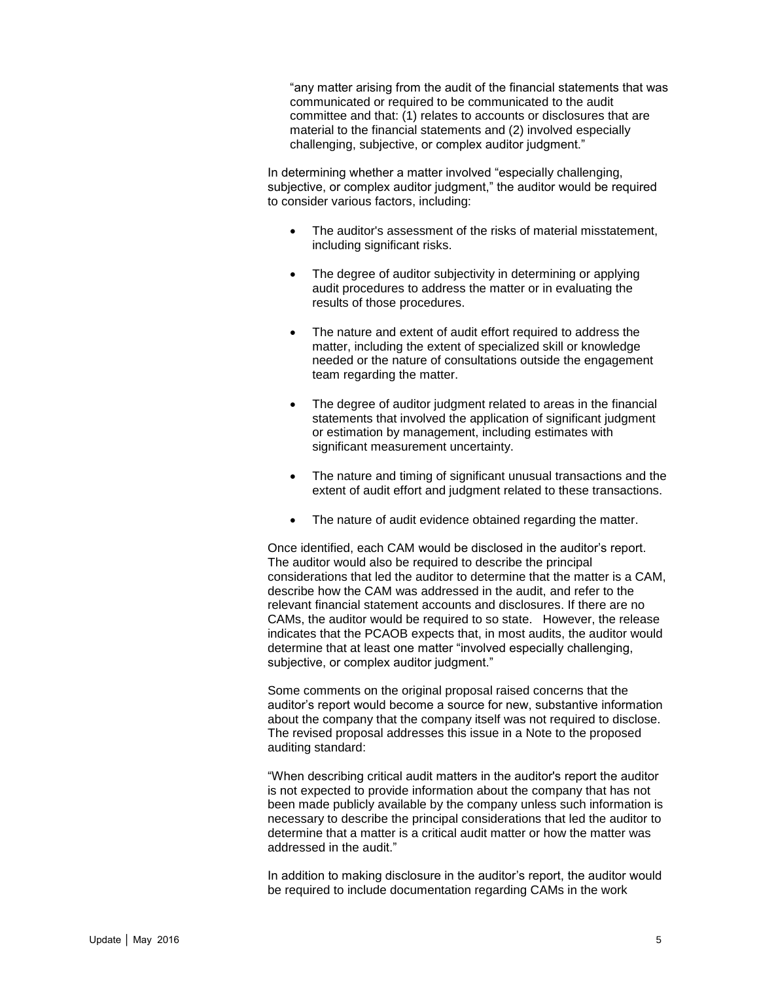"any matter arising from the audit of the financial statements that was communicated or required to be communicated to the audit committee and that: (1) relates to accounts or disclosures that are material to the financial statements and (2) involved especially challenging, subjective, or complex auditor judgment."

In determining whether a matter involved "especially challenging, subjective, or complex auditor judgment," the auditor would be required to consider various factors, including:

- The auditor's assessment of the risks of material misstatement, including significant risks.
- The degree of auditor subjectivity in determining or applying audit procedures to address the matter or in evaluating the results of those procedures.
- The nature and extent of audit effort required to address the matter, including the extent of specialized skill or knowledge needed or the nature of consultations outside the engagement team regarding the matter.
- The degree of auditor judgment related to areas in the financial statements that involved the application of significant judgment or estimation by management, including estimates with significant measurement uncertainty.
- The nature and timing of significant unusual transactions and the extent of audit effort and judgment related to these transactions.
- The nature of audit evidence obtained regarding the matter.

Once identified, each CAM would be disclosed in the auditor's report. The auditor would also be required to describe the principal considerations that led the auditor to determine that the matter is a CAM, describe how the CAM was addressed in the audit, and refer to the relevant financial statement accounts and disclosures. If there are no CAMs, the auditor would be required to so state. However, the release indicates that the PCAOB expects that, in most audits, the auditor would determine that at least one matter "involved especially challenging, subjective, or complex auditor judgment."

Some comments on the original proposal raised concerns that the auditor's report would become a source for new, substantive information about the company that the company itself was not required to disclose. The revised proposal addresses this issue in a Note to the proposed auditing standard:

"When describing critical audit matters in the auditor's report the auditor is not expected to provide information about the company that has not been made publicly available by the company unless such information is necessary to describe the principal considerations that led the auditor to determine that a matter is a critical audit matter or how the matter was addressed in the audit."

In addition to making disclosure in the auditor's report, the auditor would be required to include documentation regarding CAMs in the work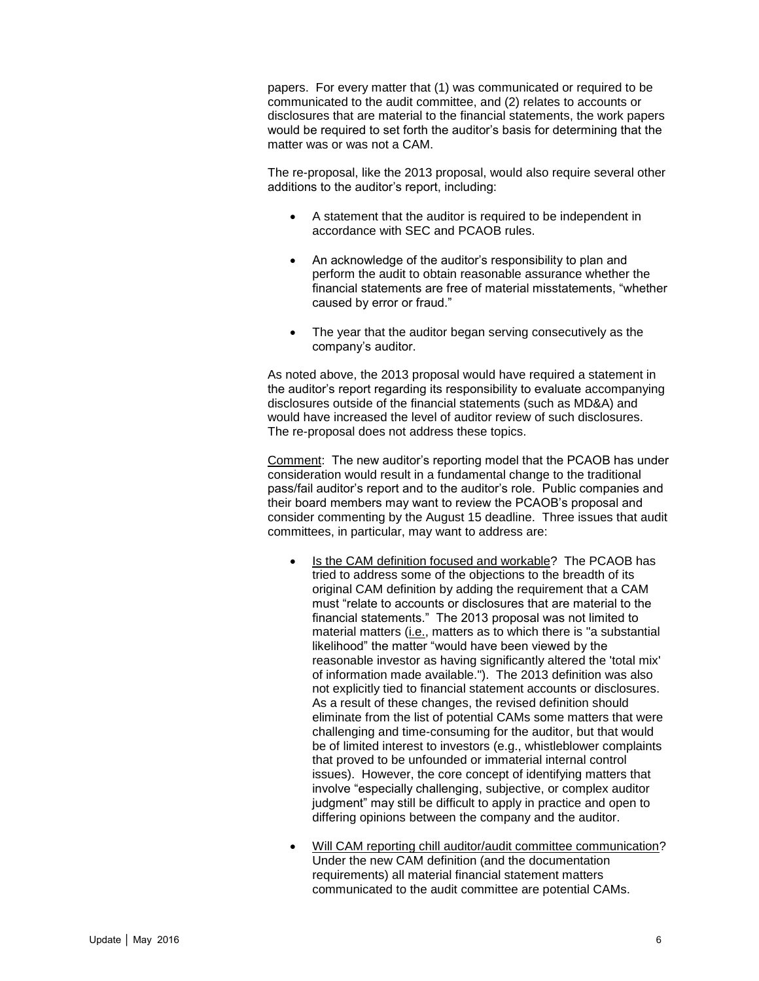papers. For every matter that (1) was communicated or required to be communicated to the audit committee, and (2) relates to accounts or disclosures that are material to the financial statements, the work papers would be required to set forth the auditor's basis for determining that the matter was or was not a CAM.

The re-proposal, like the 2013 proposal, would also require several other additions to the auditor's report, including:

- A statement that the auditor is required to be independent in accordance with SEC and PCAOB rules.
- An acknowledge of the auditor's responsibility to plan and perform the audit to obtain reasonable assurance whether the financial statements are free of material misstatements, "whether caused by error or fraud."
- The year that the auditor began serving consecutively as the company's auditor.

As noted above, the 2013 proposal would have required a statement in the auditor's report regarding its responsibility to evaluate accompanying disclosures outside of the financial statements (such as MD&A) and would have increased the level of auditor review of such disclosures. The re-proposal does not address these topics.

Comment: The new auditor's reporting model that the PCAOB has under consideration would result in a fundamental change to the traditional pass/fail auditor's report and to the auditor's role. Public companies and their board members may want to review the PCAOB's proposal and consider commenting by the August 15 deadline. Three issues that audit committees, in particular, may want to address are:

- Is the CAM definition focused and workable? The PCAOB has tried to address some of the objections to the breadth of its original CAM definition by adding the requirement that a CAM must "relate to accounts or disclosures that are material to the financial statements." The 2013 proposal was not limited to material matters (i.e., matters as to which there is "a substantial likelihood" the matter "would have been viewed by the reasonable investor as having significantly altered the 'total mix' of information made available."). The 2013 definition was also not explicitly tied to financial statement accounts or disclosures. As a result of these changes, the revised definition should eliminate from the list of potential CAMs some matters that were challenging and time-consuming for the auditor, but that would be of limited interest to investors (e.g., whistleblower complaints that proved to be unfounded or immaterial internal control issues). However, the core concept of identifying matters that involve "especially challenging, subjective, or complex auditor judgment" may still be difficult to apply in practice and open to differing opinions between the company and the auditor.
- Will CAM reporting chill auditor/audit committee communication? Under the new CAM definition (and the documentation requirements) all material financial statement matters communicated to the audit committee are potential CAMs.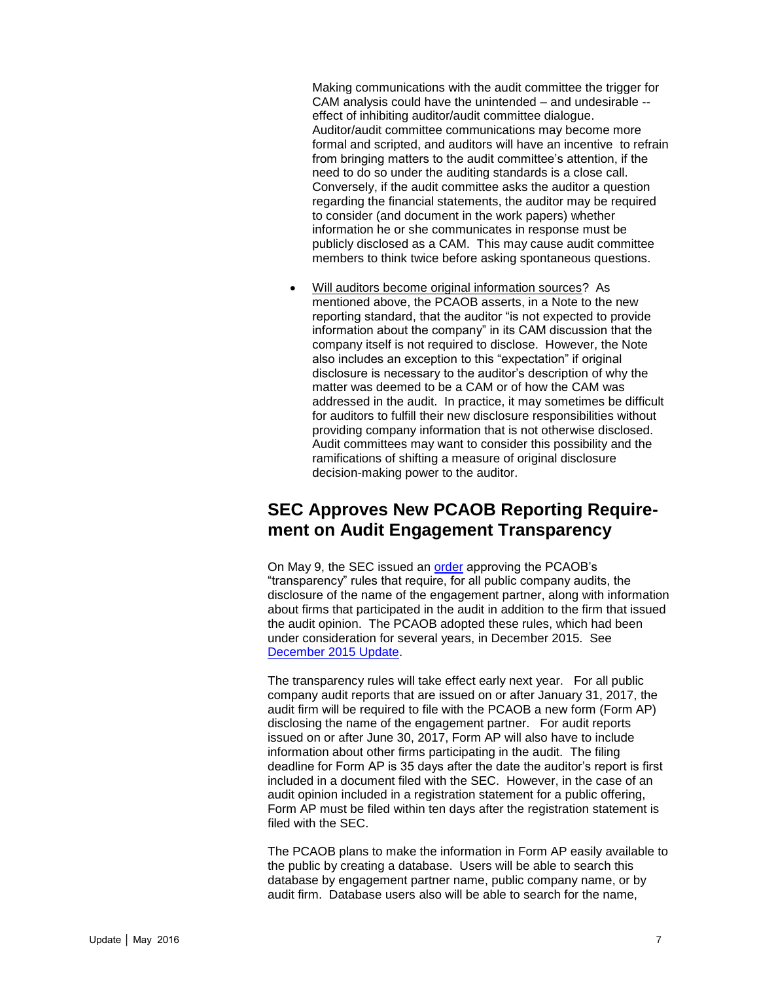Making communications with the audit committee the trigger for CAM analysis could have the unintended – and undesirable - effect of inhibiting auditor/audit committee dialogue. Auditor/audit committee communications may become more formal and scripted, and auditors will have an incentive to refrain from bringing matters to the audit committee's attention, if the need to do so under the auditing standards is a close call. Conversely, if the audit committee asks the auditor a question regarding the financial statements, the auditor may be required to consider (and document in the work papers) whether information he or she communicates in response must be publicly disclosed as a CAM. This may cause audit committee members to think twice before asking spontaneous questions.

 Will auditors become original information sources? As mentioned above, the PCAOB asserts, in a Note to the new reporting standard, that the auditor "is not expected to provide information about the company" in its CAM discussion that the company itself is not required to disclose. However, the Note also includes an exception to this "expectation" if original disclosure is necessary to the auditor's description of why the matter was deemed to be a CAM or of how the CAM was addressed in the audit. In practice, it may sometimes be difficult for auditors to fulfill their new disclosure responsibilities without providing company information that is not otherwise disclosed. Audit committees may want to consider this possibility and the ramifications of shifting a measure of original disclosure decision-making power to the auditor.

#### <span id="page-6-0"></span>**SEC Approves New PCAOB Reporting Requirement on Audit Engagement Transparency**

On May 9, the SEC issued an [order](https://www.sec.gov/rules/pcaob/2016/34-77787.pdf) approving the PCAOB's "transparency" rules that require, for all public company audits, the disclosure of the name of the engagement partner, along with information about firms that participated in the audit in addition to the firm that issued the audit opinion. The PCAOB adopted these rules, which had been under consideration for several years, in December 2015. See [December 2015 Update.](http://www.bakermckenzie.com/files/Uploads/Documents/Publications/NA/nl_washington_auditupdate_dec15.pdf)

The transparency rules will take effect early next year. For all public company audit reports that are issued on or after January 31, 2017, the audit firm will be required to file with the PCAOB a new form (Form AP) disclosing the name of the engagement partner. For audit reports issued on or after June 30, 2017, Form AP will also have to include information about other firms participating in the audit. The filing deadline for Form AP is 35 days after the date the auditor's report is first included in a document filed with the SEC. However, in the case of an audit opinion included in a registration statement for a public offering, Form AP must be filed within ten days after the registration statement is filed with the SEC.

The PCAOB plans to make the information in Form AP easily available to the public by creating a database. Users will be able to search this database by engagement partner name, public company name, or by audit firm. Database users also will be able to search for the name,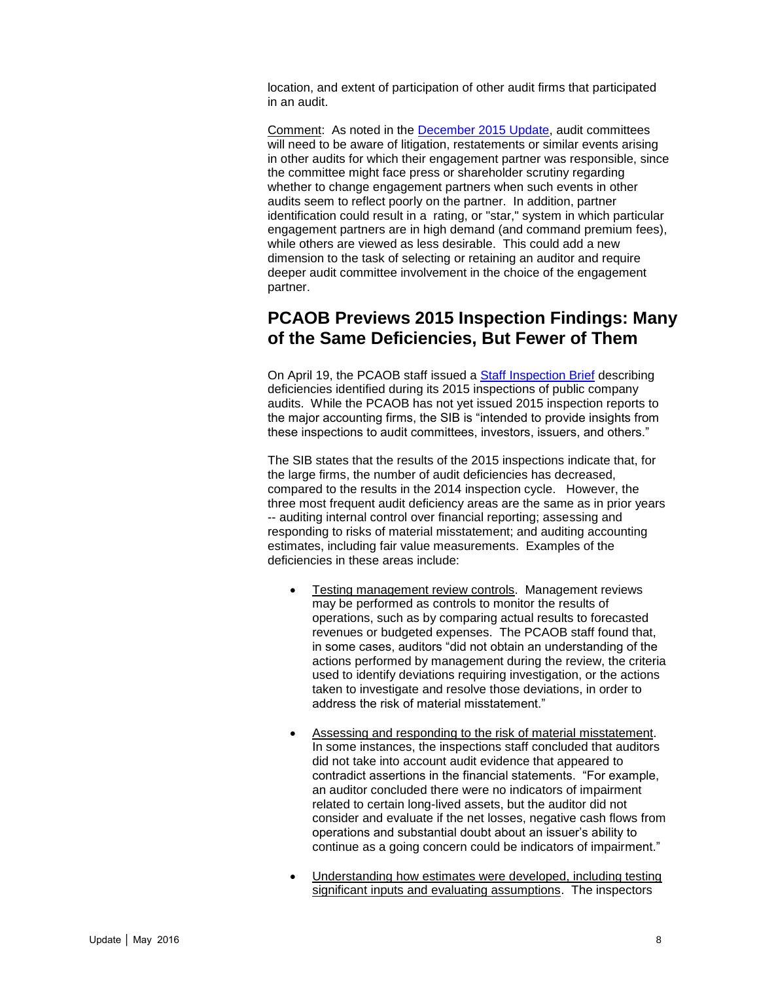location, and extent of participation of other audit firms that participated in an audit.

Comment: As noted in the [December 2015 Update,](http://www.bakermckenzie.com/files/Uploads/Documents/Publications/NA/nl_washington_auditupdate_dec15.pdf) audit committees will need to be aware of litigation, restatements or similar events arising in other audits for which their engagement partner was responsible, since the committee might face press or shareholder scrutiny regarding whether to change engagement partners when such events in other audits seem to reflect poorly on the partner. In addition, partner identification could result in a rating, or "star," system in which particular engagement partners are in high demand (and command premium fees), while others are viewed as less desirable. This could add a new dimension to the task of selecting or retaining an auditor and require deeper audit committee involvement in the choice of the engagement partner.

#### <span id="page-7-0"></span>**PCAOB Previews 2015 Inspection Findings: Many of the Same Deficiencies, But Fewer of Them**

On April 19, the PCAOB staff issued a [Staff Inspection Brief](http://pcaobus.org/Inspections/Documents/Inspection-Brief-2016-1-Auditors-Issuers.pdf) describing deficiencies identified during its 2015 inspections of public company audits. While the PCAOB has not yet issued 2015 inspection reports to the major accounting firms, the SIB is "intended to provide insights from these inspections to audit committees, investors, issuers, and others."

The SIB states that the results of the 2015 inspections indicate that, for the large firms, the number of audit deficiencies has decreased, compared to the results in the 2014 inspection cycle. However, the three most frequent audit deficiency areas are the same as in prior years -- auditing internal control over financial reporting; assessing and responding to risks of material misstatement; and auditing accounting estimates, including fair value measurements. Examples of the deficiencies in these areas include:

- Testing management review controls. Management reviews may be performed as controls to monitor the results of operations, such as by comparing actual results to forecasted revenues or budgeted expenses. The PCAOB staff found that, in some cases, auditors "did not obtain an understanding of the actions performed by management during the review, the criteria used to identify deviations requiring investigation, or the actions taken to investigate and resolve those deviations, in order to address the risk of material misstatement."
- Assessing and responding to the risk of material misstatement. In some instances, the inspections staff concluded that auditors did not take into account audit evidence that appeared to contradict assertions in the financial statements. "For example, an auditor concluded there were no indicators of impairment related to certain long-lived assets, but the auditor did not consider and evaluate if the net losses, negative cash flows from operations and substantial doubt about an issuer's ability to continue as a going concern could be indicators of impairment."
- Understanding how estimates were developed, including testing significant inputs and evaluating assumptions. The inspectors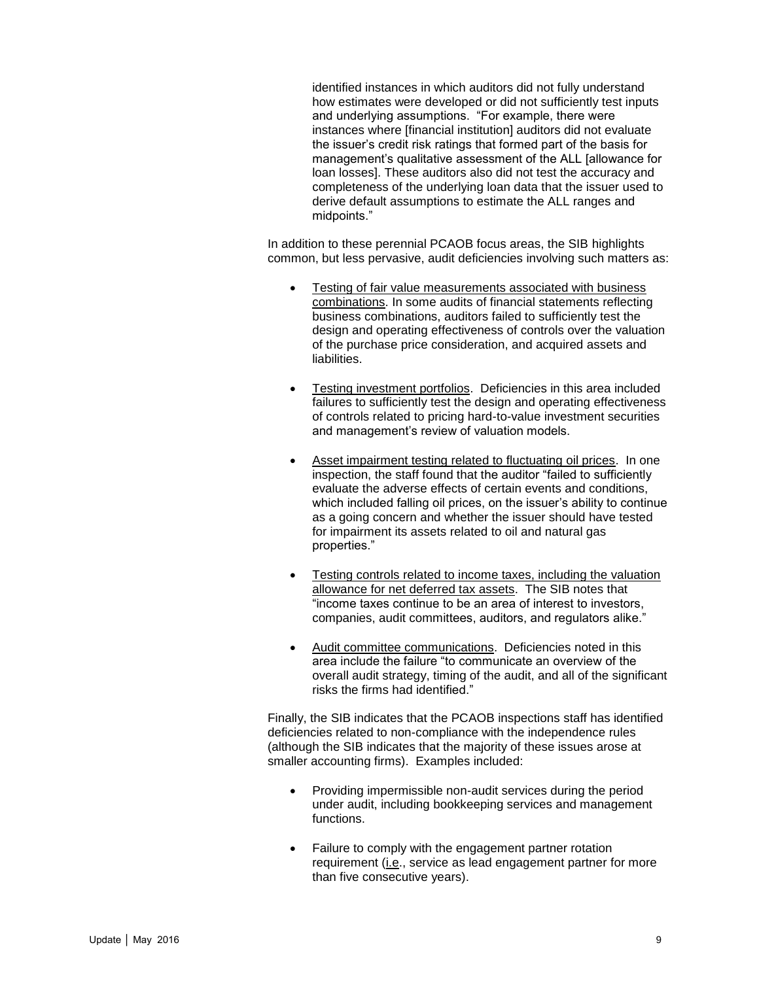identified instances in which auditors did not fully understand how estimates were developed or did not sufficiently test inputs and underlying assumptions. "For example, there were instances where [financial institution] auditors did not evaluate the issuer's credit risk ratings that formed part of the basis for management's qualitative assessment of the ALL [allowance for loan losses]. These auditors also did not test the accuracy and completeness of the underlying loan data that the issuer used to derive default assumptions to estimate the ALL ranges and midpoints."

In addition to these perennial PCAOB focus areas, the SIB highlights common, but less pervasive, audit deficiencies involving such matters as:

- Testing of fair value measurements associated with business combinations. In some audits of financial statements reflecting business combinations, auditors failed to sufficiently test the design and operating effectiveness of controls over the valuation of the purchase price consideration, and acquired assets and liabilities.
- Testing investment portfolios. Deficiencies in this area included failures to sufficiently test the design and operating effectiveness of controls related to pricing hard-to-value investment securities and management's review of valuation models.
- Asset impairment testing related to fluctuating oil prices. In one inspection, the staff found that the auditor "failed to sufficiently evaluate the adverse effects of certain events and conditions, which included falling oil prices, on the issuer's ability to continue as a going concern and whether the issuer should have tested for impairment its assets related to oil and natural gas properties."
- Testing controls related to income taxes, including the valuation allowance for net deferred tax assets. The SIB notes that "income taxes continue to be an area of interest to investors, companies, audit committees, auditors, and regulators alike."
- Audit committee communications. Deficiencies noted in this area include the failure "to communicate an overview of the overall audit strategy, timing of the audit, and all of the significant risks the firms had identified."

Finally, the SIB indicates that the PCAOB inspections staff has identified deficiencies related to non-compliance with the independence rules (although the SIB indicates that the majority of these issues arose at smaller accounting firms). Examples included:

- Providing impermissible non-audit services during the period under audit, including bookkeeping services and management functions.
- Failure to comply with the engagement partner rotation requirement (i.e., service as lead engagement partner for more than five consecutive years).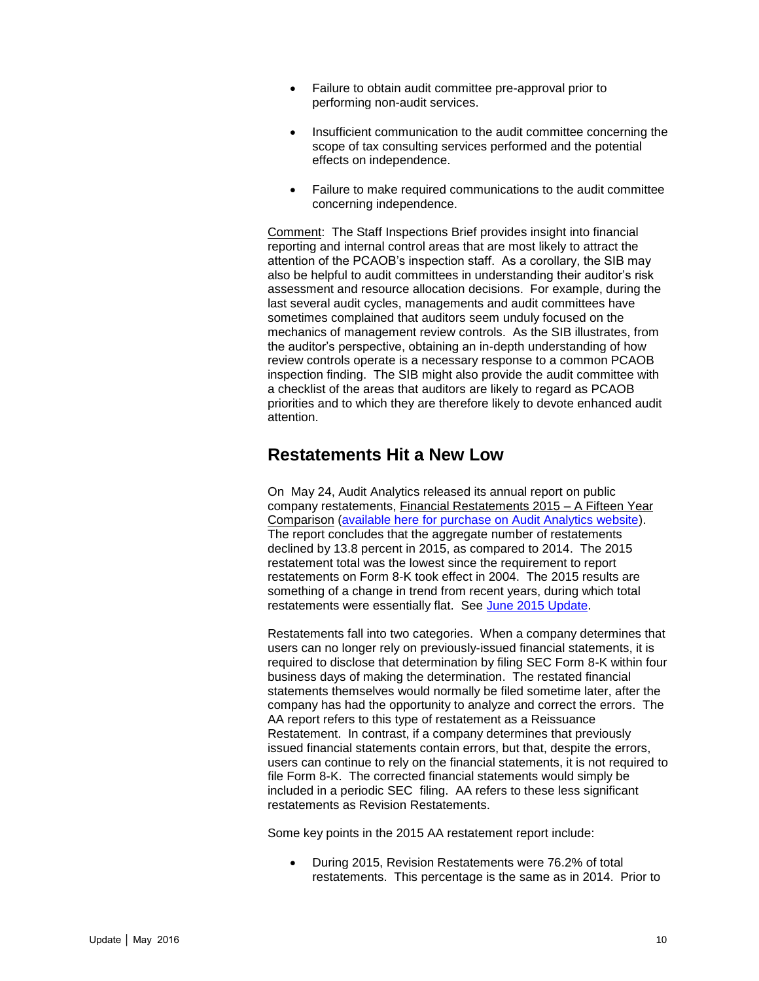- Failure to obtain audit committee pre-approval prior to performing non-audit services.
- Insufficient communication to the audit committee concerning the scope of tax consulting services performed and the potential effects on independence.
- Failure to make required communications to the audit committee concerning independence.

Comment: The Staff Inspections Brief provides insight into financial reporting and internal control areas that are most likely to attract the attention of the PCAOB's inspection staff. As a corollary, the SIB may also be helpful to audit committees in understanding their auditor's risk assessment and resource allocation decisions. For example, during the last several audit cycles, managements and audit committees have sometimes complained that auditors seem unduly focused on the mechanics of management review controls. As the SIB illustrates, from the auditor's perspective, obtaining an in-depth understanding of how review controls operate is a necessary response to a common PCAOB inspection finding. The SIB might also provide the audit committee with a checklist of the areas that auditors are likely to regard as PCAOB priorities and to which they are therefore likely to devote enhanced audit attention.

#### <span id="page-9-0"></span>**Restatements Hit a New Low**

On May 24, Audit Analytics released its annual report on public company restatements, Financial Restatements 2015 – A Fifteen Year Comparison [\(available here for purchase on Audit Analytics website\)](http://www.auditanalytics.com/0002/view-custom-reports.php?report=d4ccd95113d5a4602d855b5d5fa94a2a). The report concludes that the aggregate number of restatements declined by 13.8 percent in 2015, as compared to 2014. The 2015 restatement total was the lowest since the requirement to report restatements on Form 8-K took effect in 2004. The 2015 results are something of a change in trend from recent years, during which total restatements were essentially flat. See [June 2015 Update.](http://www.bakermckenzie.com/files/Publication/934ae90a-cdff-4209-a4b8-789cd7cd4eba/Presentation/PublicationAttachment/0c294dc4-983d-4237-bf23-836563216052/nl_bf_auditcommitteeupdate_jun15.pdf)

Restatements fall into two categories. When a company determines that users can no longer rely on previously-issued financial statements, it is required to disclose that determination by filing SEC Form 8-K within four business days of making the determination. The restated financial statements themselves would normally be filed sometime later, after the company has had the opportunity to analyze and correct the errors. The AA report refers to this type of restatement as a Reissuance Restatement. In contrast, if a company determines that previously issued financial statements contain errors, but that, despite the errors, users can continue to rely on the financial statements, it is not required to file Form 8-K. The corrected financial statements would simply be included in a periodic SEC filing. AA refers to these less significant restatements as Revision Restatements.

Some key points in the 2015 AA restatement report include:

 During 2015, Revision Restatements were 76.2% of total restatements. This percentage is the same as in 2014. Prior to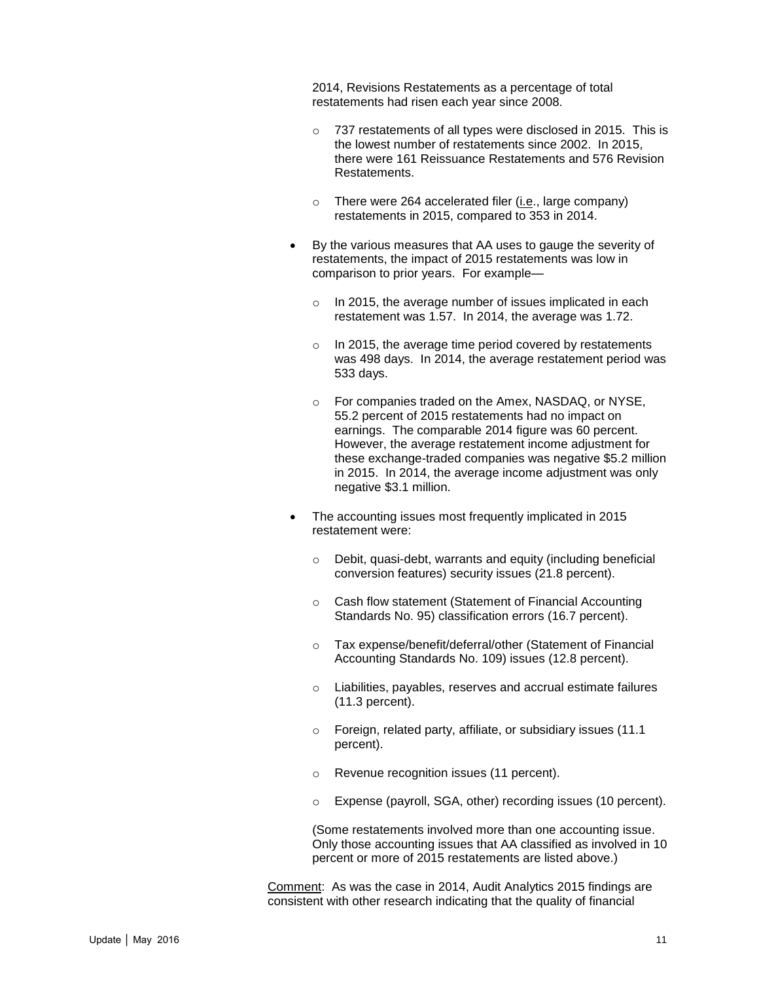2014, Revisions Restatements as a percentage of total restatements had risen each year since 2008.

- o 737 restatements of all types were disclosed in 2015. This is the lowest number of restatements since 2002. In 2015, there were 161 Reissuance Restatements and 576 Revision Restatements.
- o There were 264 accelerated filer (i.e., large company) restatements in 2015, compared to 353 in 2014.
- By the various measures that AA uses to gauge the severity of restatements, the impact of 2015 restatements was low in comparison to prior years. For example
	- o In 2015, the average number of issues implicated in each restatement was 1.57. In 2014, the average was 1.72.
	- o In 2015, the average time period covered by restatements was 498 days. In 2014, the average restatement period was 533 days.
	- o For companies traded on the Amex, NASDAQ, or NYSE, 55.2 percent of 2015 restatements had no impact on earnings. The comparable 2014 figure was 60 percent. However, the average restatement income adjustment for these exchange-traded companies was negative \$5.2 million in 2015. In 2014, the average income adjustment was only negative \$3.1 million.
- The accounting issues most frequently implicated in 2015 restatement were:
	- $\circ$  Debit, quasi-debt, warrants and equity (including beneficial conversion features) security issues (21.8 percent).
	- o Cash flow statement (Statement of Financial Accounting Standards No. 95) classification errors (16.7 percent).
	- o Tax expense/benefit/deferral/other (Statement of Financial Accounting Standards No. 109) issues (12.8 percent).
	- o Liabilities, payables, reserves and accrual estimate failures (11.3 percent).
	- o Foreign, related party, affiliate, or subsidiary issues (11.1 percent).
	- o Revenue recognition issues (11 percent).
	- o Expense (payroll, SGA, other) recording issues (10 percent).

(Some restatements involved more than one accounting issue. Only those accounting issues that AA classified as involved in 10 percent or more of 2015 restatements are listed above.)

Comment: As was the case in 2014, Audit Analytics 2015 findings are consistent with other research indicating that the quality of financial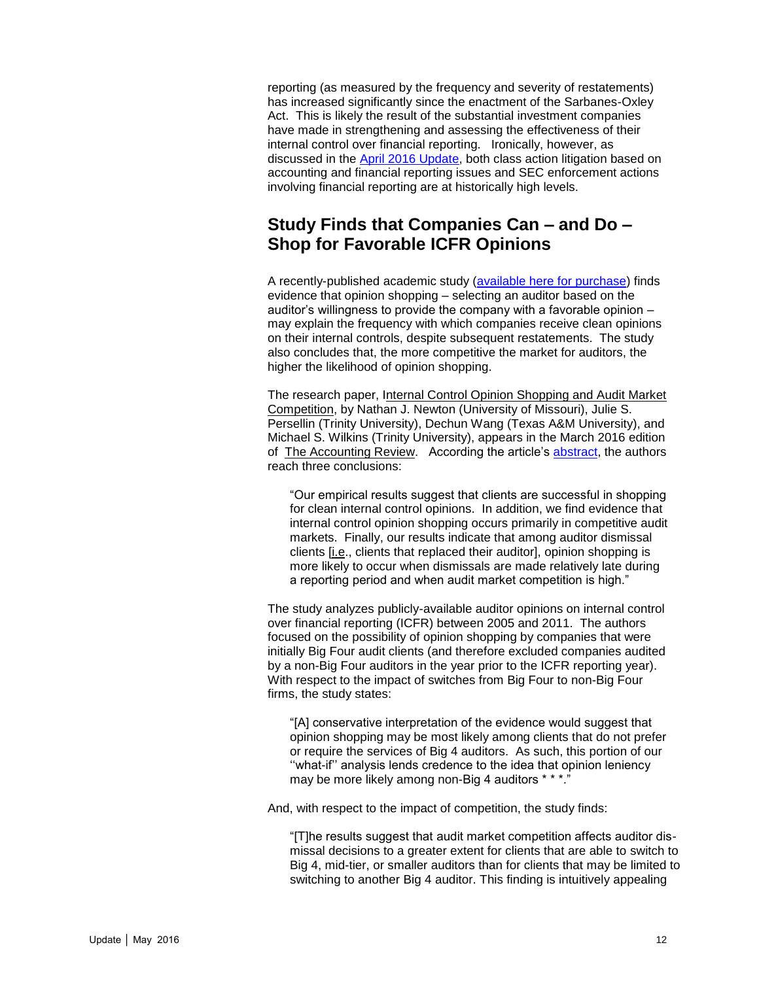reporting (as measured by the frequency and severity of restatements) has increased significantly since the enactment of the Sarbanes-Oxley Act. This is likely the result of the substantial investment companies have made in strengthening and assessing the effectiveness of their internal control over financial reporting. Ironically, however, as discussed in the [April 2016 Update,](http://www.bakermckenzie.com/NLNAAuditCommitteeUpdateApr16/) both class action litigation based on accounting and financial reporting issues and SEC enforcement actions involving financial reporting are at historically high levels.

### <span id="page-11-0"></span>**Study Finds that Companies Can – and Do – Shop for Favorable ICFR Opinions**

A recently-published academic study [\(available here for purchase\)](http://aaajournals.org/doi/full/10.2308/accr-51149) finds evidence that opinion shopping – selecting an auditor based on the auditor's willingness to provide the company with a favorable opinion – may explain the frequency with which companies receive clean opinions on their internal controls, despite subsequent restatements. The study also concludes that, the more competitive the market for auditors, the higher the likelihood of opinion shopping.

The research paper, Internal Control Opinion Shopping and Audit Market Competition, by Nathan J. Newton (University of Missouri), Julie S. Persellin (Trinity University), Dechun Wang (Texas A&M University), and Michael S. Wilkins (Trinity University), appears in the March 2016 edition of The Accounting Review. According the article's [abstract,](http://aaajournals.org/doi/abs/10.2308/accr-51149) the authors reach three conclusions:

"Our empirical results suggest that clients are successful in shopping for clean internal control opinions. In addition, we find evidence that internal control opinion shopping occurs primarily in competitive audit markets. Finally, our results indicate that among auditor dismissal clients [i.e., clients that replaced their auditor], opinion shopping is more likely to occur when dismissals are made relatively late during a reporting period and when audit market competition is high."

The study analyzes publicly-available auditor opinions on internal control over financial reporting (ICFR) between 2005 and 2011. The authors focused on the possibility of opinion shopping by companies that were initially Big Four audit clients (and therefore excluded companies audited by a non-Big Four auditors in the year prior to the ICFR reporting year). With respect to the impact of switches from Big Four to non-Big Four firms, the study states:

"[A] conservative interpretation of the evidence would suggest that opinion shopping may be most likely among clients that do not prefer or require the services of Big 4 auditors. As such, this portion of our ''what-if'' analysis lends credence to the idea that opinion leniency may be more likely among non-Big 4 auditors \* \* \*."

And, with respect to the impact of competition, the study finds:

"[T]he results suggest that audit market competition affects auditor dismissal decisions to a greater extent for clients that are able to switch to Big 4, mid-tier, or smaller auditors than for clients that may be limited to switching to another Big 4 auditor. This finding is intuitively appealing